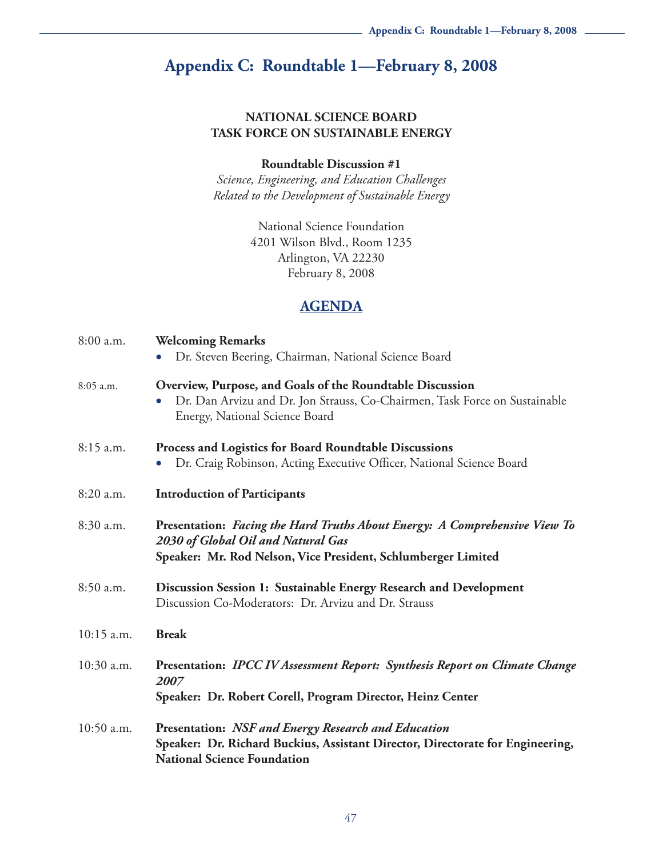# **Appendix C: Roundtable 1—February 8, 2008**

#### **NATIONAL SCIENCE BOARD TASK FORCE ON SUSTAINABLE ENERGY**

#### **Roundtable Discussion #1**

*Science, Engineering, and Education Challenges Related to the Development of Sustainable Energy*

> National Science Foundation 4201 Wilson Blvd., Room 1235 Arlington, VA 22230 February 8, 2008

### **AGENDA**

| 8:00 a.m.    | <b>Welcoming Remarks</b><br>Dr. Steven Beering, Chairman, National Science Board<br>$\bullet$                                                                                          |  |
|--------------|----------------------------------------------------------------------------------------------------------------------------------------------------------------------------------------|--|
| 8:05 a.m.    | Overview, Purpose, and Goals of the Roundtable Discussion<br>Dr. Dan Arvizu and Dr. Jon Strauss, Co-Chairmen, Task Force on Sustainable<br>$\bullet$<br>Energy, National Science Board |  |
| 8:15 a.m.    | Process and Logistics for Board Roundtable Discussions<br>Dr. Craig Robinson, Acting Executive Officer, National Science Board                                                         |  |
| 8:20 a.m.    | <b>Introduction of Participants</b>                                                                                                                                                    |  |
| 8:30 a.m.    | Presentation: Facing the Hard Truths About Energy: A Comprehensive View To<br>2030 of Global Oil and Natural Gas<br>Speaker: Mr. Rod Nelson, Vice President, Schlumberger Limited      |  |
| 8:50 a.m.    | Discussion Session 1: Sustainable Energy Research and Development<br>Discussion Co-Moderators: Dr. Arvizu and Dr. Strauss                                                              |  |
| $10:15$ a.m. | <b>Break</b>                                                                                                                                                                           |  |
| 10:30 a.m.   | Presentation: IPCC IV Assessment Report: Synthesis Report on Climate Change<br>2007<br>Speaker: Dr. Robert Corell, Program Director, Heinz Center                                      |  |
| 10:50 a.m.   | <b>Presentation: NSF and Energy Research and Education</b><br>Speaker: Dr. Richard Buckius, Assistant Director, Directorate for Engineering,<br><b>National Science Foundation</b>     |  |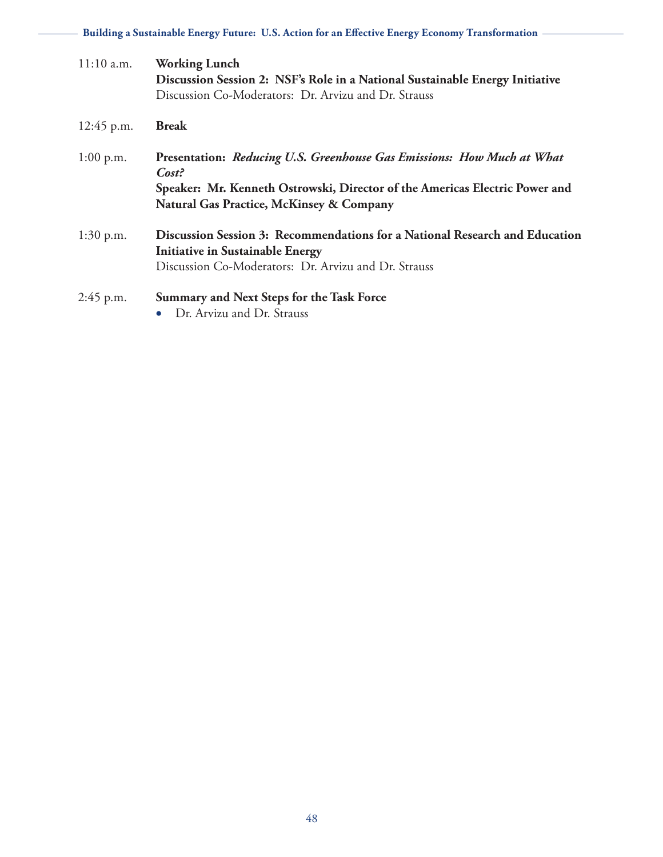**Building a Sustainable Energy Future: U.S. Action for an Effective Energy Economy Transformation**

| $11:10$ a.m. | <b>Working Lunch</b><br>Discussion Session 2: NSF's Role in a National Sustainable Energy Initiative<br>Discussion Co-Moderators: Dr. Arvizu and Dr. Strauss                                                          |  |
|--------------|-----------------------------------------------------------------------------------------------------------------------------------------------------------------------------------------------------------------------|--|
| 12:45 p.m.   | <b>Break</b>                                                                                                                                                                                                          |  |
| $1:00$ p.m.  | Presentation: Reducing U.S. Greenhouse Gas Emissions: How Much at What<br>Cost?<br>Speaker: Mr. Kenneth Ostrowski, Director of the Americas Electric Power and<br><b>Natural Gas Practice, McKinsey &amp; Company</b> |  |
| $1:30$ p.m.  | Discussion Session 3: Recommendations for a National Research and Education<br><b>Initiative in Sustainable Energy</b><br>Discussion Co-Moderators: Dr. Arvizu and Dr. Strauss                                        |  |
| 2:45 p.m.    | Summary and Next Steps for the Task Force<br>• Dr. Arvizu and Dr. Strauss                                                                                                                                             |  |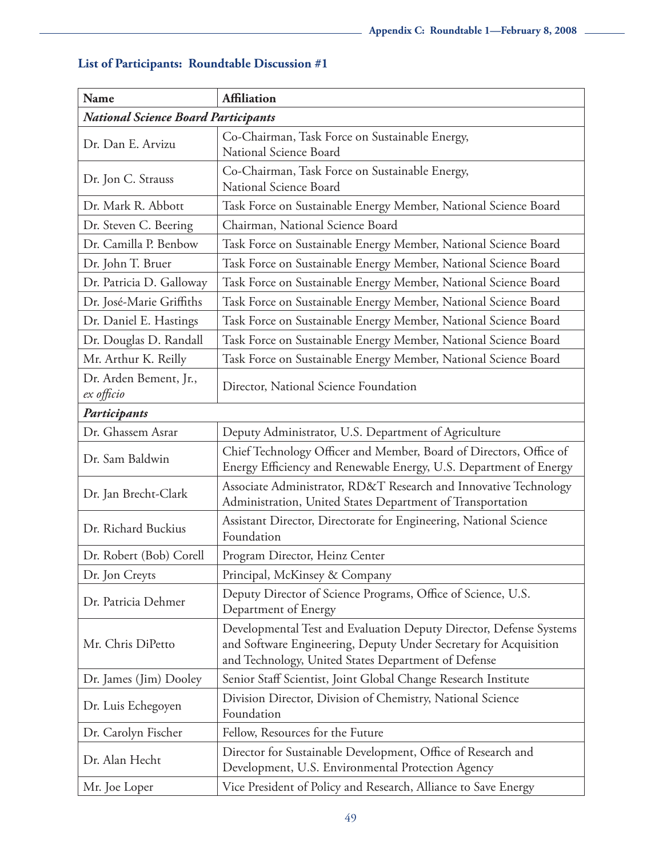| <b>Name</b>                                | <b>Affiliation</b>                                                                                                                                                                            |  |  |  |
|--------------------------------------------|-----------------------------------------------------------------------------------------------------------------------------------------------------------------------------------------------|--|--|--|
| <b>National Science Board Participants</b> |                                                                                                                                                                                               |  |  |  |
| Dr. Dan E. Arvizu                          | Co-Chairman, Task Force on Sustainable Energy,<br>National Science Board                                                                                                                      |  |  |  |
| Dr. Jon C. Strauss                         | Co-Chairman, Task Force on Sustainable Energy,<br>National Science Board                                                                                                                      |  |  |  |
| Dr. Mark R. Abbott                         | Task Force on Sustainable Energy Member, National Science Board                                                                                                                               |  |  |  |
| Dr. Steven C. Beering                      | Chairman, National Science Board                                                                                                                                                              |  |  |  |
| Dr. Camilla P. Benbow                      | Task Force on Sustainable Energy Member, National Science Board                                                                                                                               |  |  |  |
| Dr. John T. Bruer                          | Task Force on Sustainable Energy Member, National Science Board                                                                                                                               |  |  |  |
| Dr. Patricia D. Galloway                   | Task Force on Sustainable Energy Member, National Science Board                                                                                                                               |  |  |  |
| Dr. José-Marie Griffiths                   | Task Force on Sustainable Energy Member, National Science Board                                                                                                                               |  |  |  |
| Dr. Daniel E. Hastings                     | Task Force on Sustainable Energy Member, National Science Board                                                                                                                               |  |  |  |
| Dr. Douglas D. Randall                     | Task Force on Sustainable Energy Member, National Science Board                                                                                                                               |  |  |  |
| Mr. Arthur K. Reilly                       | Task Force on Sustainable Energy Member, National Science Board                                                                                                                               |  |  |  |
| Dr. Arden Bement, Jr.,<br>ex officio       | Director, National Science Foundation                                                                                                                                                         |  |  |  |
| Participants                               |                                                                                                                                                                                               |  |  |  |
| Dr. Ghassem Asrar                          | Deputy Administrator, U.S. Department of Agriculture                                                                                                                                          |  |  |  |
| Dr. Sam Baldwin                            | Chief Technology Officer and Member, Board of Directors, Office of<br>Energy Efficiency and Renewable Energy, U.S. Department of Energy                                                       |  |  |  |
| Dr. Jan Brecht-Clark                       | Associate Administrator, RD&T Research and Innovative Technology<br>Administration, United States Department of Transportation                                                                |  |  |  |
| Dr. Richard Buckius                        | Assistant Director, Directorate for Engineering, National Science<br>Foundation                                                                                                               |  |  |  |
| Dr. Robert (Bob) Corell                    | Program Director, Heinz Center                                                                                                                                                                |  |  |  |
| Dr. Jon Creyts                             | Principal, McKinsey & Company                                                                                                                                                                 |  |  |  |
| Dr. Patricia Dehmer                        | Deputy Director of Science Programs, Office of Science, U.S.<br>Department of Energy                                                                                                          |  |  |  |
| Mr. Chris DiPetto                          | Developmental Test and Evaluation Deputy Director, Defense Systems<br>and Software Engineering, Deputy Under Secretary for Acquisition<br>and Technology, United States Department of Defense |  |  |  |
| Dr. James (Jim) Dooley                     | Senior Staff Scientist, Joint Global Change Research Institute                                                                                                                                |  |  |  |
| Dr. Luis Echegoyen                         | Division Director, Division of Chemistry, National Science<br>Foundation                                                                                                                      |  |  |  |
| Dr. Carolyn Fischer                        | Fellow, Resources for the Future                                                                                                                                                              |  |  |  |
| Dr. Alan Hecht                             | Director for Sustainable Development, Office of Research and<br>Development, U.S. Environmental Protection Agency                                                                             |  |  |  |
| Mr. Joe Loper                              | Vice President of Policy and Research, Alliance to Save Energy                                                                                                                                |  |  |  |

## **List of Participants: Roundtable Discussion #1**